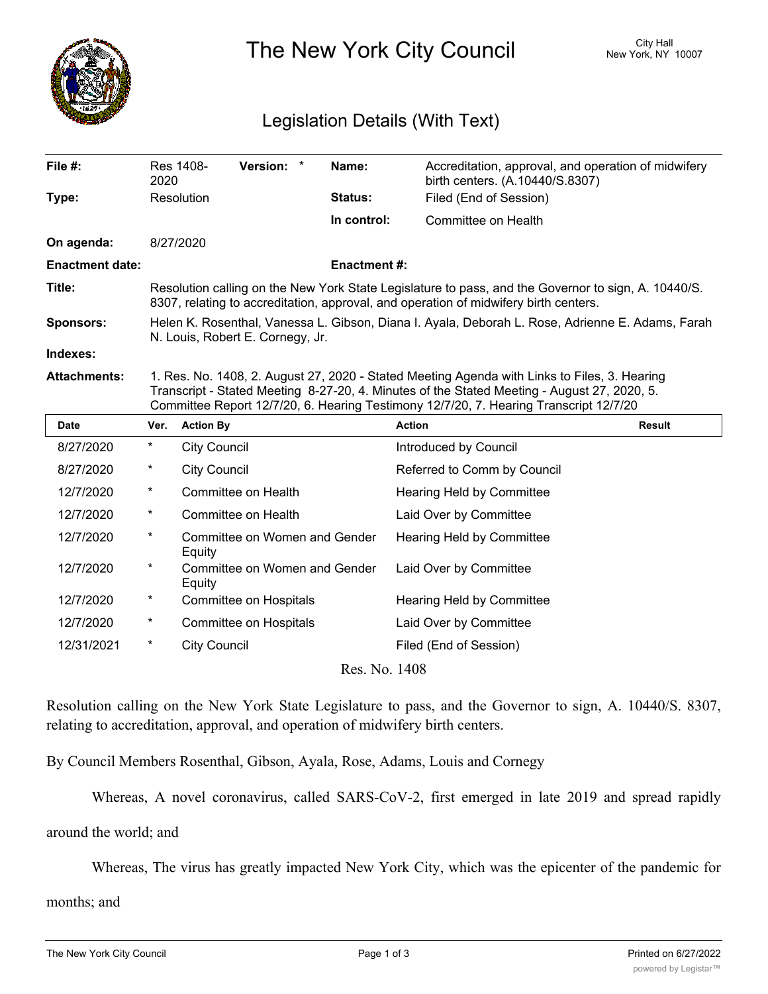

## The New York City Council New York, NY 10007

## Legislation Details (With Text)

| File #:                | 2020                                                                                                                                                                                                                                                                                 | Res 1408-              | <b>Version:</b> | $\star$ | Name:                         | Accreditation, approval, and operation of midwifery<br>birth centers. (A.10440/S.8307) |        |
|------------------------|--------------------------------------------------------------------------------------------------------------------------------------------------------------------------------------------------------------------------------------------------------------------------------------|------------------------|-----------------|---------|-------------------------------|----------------------------------------------------------------------------------------|--------|
| Type:                  |                                                                                                                                                                                                                                                                                      | Resolution             |                 |         | Status:                       | Filed (End of Session)                                                                 |        |
|                        |                                                                                                                                                                                                                                                                                      |                        |                 |         | In control:                   | Committee on Health                                                                    |        |
| On agenda:             |                                                                                                                                                                                                                                                                                      | 8/27/2020              |                 |         |                               |                                                                                        |        |
| <b>Enactment date:</b> | <b>Enactment #:</b>                                                                                                                                                                                                                                                                  |                        |                 |         |                               |                                                                                        |        |
| Title:                 | Resolution calling on the New York State Legislature to pass, and the Governor to sign, A. 10440/S.<br>8307, relating to accreditation, approval, and operation of midwifery birth centers.                                                                                          |                        |                 |         |                               |                                                                                        |        |
| <b>Sponsors:</b>       | Helen K. Rosenthal, Vanessa L. Gibson, Diana I. Ayala, Deborah L. Rose, Adrienne E. Adams, Farah<br>N. Louis, Robert E. Cornegy, Jr.                                                                                                                                                 |                        |                 |         |                               |                                                                                        |        |
| Indexes:               |                                                                                                                                                                                                                                                                                      |                        |                 |         |                               |                                                                                        |        |
| <b>Attachments:</b>    | 1. Res. No. 1408, 2. August 27, 2020 - Stated Meeting Agenda with Links to Files, 3. Hearing<br>Transcript - Stated Meeting 8-27-20, 4. Minutes of the Stated Meeting - August 27, 2020, 5.<br>Committee Report 12/7/20, 6. Hearing Testimony 12/7/20, 7. Hearing Transcript 12/7/20 |                        |                 |         |                               |                                                                                        |        |
|                        |                                                                                                                                                                                                                                                                                      |                        |                 |         |                               |                                                                                        |        |
| <b>Date</b>            | Ver.                                                                                                                                                                                                                                                                                 | <b>Action By</b>       |                 |         |                               | <b>Action</b>                                                                          | Result |
| 8/27/2020              | $^\star$                                                                                                                                                                                                                                                                             | <b>City Council</b>    |                 |         |                               | Introduced by Council                                                                  |        |
| 8/27/2020              | $^\ast$                                                                                                                                                                                                                                                                              | <b>City Council</b>    |                 |         |                               | Referred to Comm by Council                                                            |        |
| 12/7/2020              | $^\ast$                                                                                                                                                                                                                                                                              | Committee on Health    |                 |         |                               | <b>Hearing Held by Committee</b>                                                       |        |
| 12/7/2020              | $^\ast$                                                                                                                                                                                                                                                                              | Committee on Health    |                 |         |                               | Laid Over by Committee                                                                 |        |
| 12/7/2020              | $\star$                                                                                                                                                                                                                                                                              | Equity                 |                 |         | Committee on Women and Gender | Hearing Held by Committee                                                              |        |
| 12/7/2020              | $\star$                                                                                                                                                                                                                                                                              | Equity                 |                 |         | Committee on Women and Gender | Laid Over by Committee                                                                 |        |
| 12/7/2020              | $^\ast$                                                                                                                                                                                                                                                                              | Committee on Hospitals |                 |         |                               | Hearing Held by Committee                                                              |        |
| 12/7/2020              | $^\ast$                                                                                                                                                                                                                                                                              | Committee on Hospitals |                 |         |                               | Laid Over by Committee                                                                 |        |
| 12/31/2021             | $^\ast$                                                                                                                                                                                                                                                                              | <b>City Council</b>    |                 |         |                               | Filed (End of Session)                                                                 |        |

Resolution calling on the New York State Legislature to pass, and the Governor to sign, A. 10440/S. 8307, relating to accreditation, approval, and operation of midwifery birth centers.

By Council Members Rosenthal, Gibson, Ayala, Rose, Adams, Louis and Cornegy

Whereas, A novel coronavirus, called SARS-CoV-2, first emerged in late 2019 and spread rapidly

around the world; and

Whereas, The virus has greatly impacted New York City, which was the epicenter of the pandemic for

 $\mathcal{L}_{\mathcal{A}}$  ,  $\mathcal{L}_{\mathcal{A}}$  residents of  $\mathcal{L}_{\mathcal{A}}$  residents of  $\mathcal{L}_{\mathcal{A}}$  residents of  $\mathcal{L}_{\mathcal{A}}$  respectively.

months; and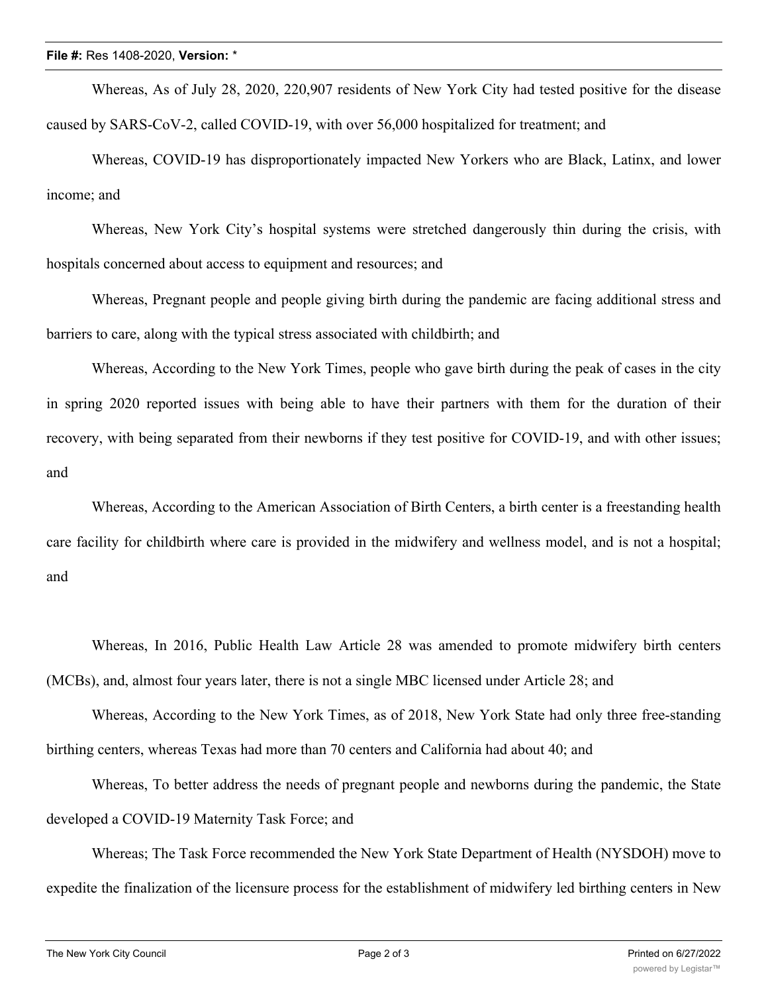Whereas, As of July 28, 2020, 220,907 residents of New York City had tested positive for the disease caused by SARS-CoV-2, called COVID-19, with over 56,000 hospitalized for treatment; and

Whereas, COVID-19 has disproportionately impacted New Yorkers who are Black, Latinx, and lower income; and

Whereas, New York City's hospital systems were stretched dangerously thin during the crisis, with hospitals concerned about access to equipment and resources; and

Whereas, Pregnant people and people giving birth during the pandemic are facing additional stress and barriers to care, along with the typical stress associated with childbirth; and

Whereas, According to the New York Times, people who gave birth during the peak of cases in the city in spring 2020 reported issues with being able to have their partners with them for the duration of their recovery, with being separated from their newborns if they test positive for COVID-19, and with other issues; and

Whereas, According to the American Association of Birth Centers, a birth center is a freestanding health care facility for childbirth where care is provided in the midwifery and wellness model, and is not a hospital; and

Whereas, In 2016, Public Health Law Article 28 was amended to promote midwifery birth centers (MCBs), and, almost four years later, there is not a single MBC licensed under Article 28; and

Whereas, According to the New York Times, as of 2018, New York State had only three free-standing birthing centers, whereas Texas had more than 70 centers and California had about 40; and

Whereas, To better address the needs of pregnant people and newborns during the pandemic, the State developed a COVID-19 Maternity Task Force; and

Whereas; The Task Force recommended the New York State Department of Health (NYSDOH) move to expedite the finalization of the licensure process for the establishment of midwifery led birthing centers in New